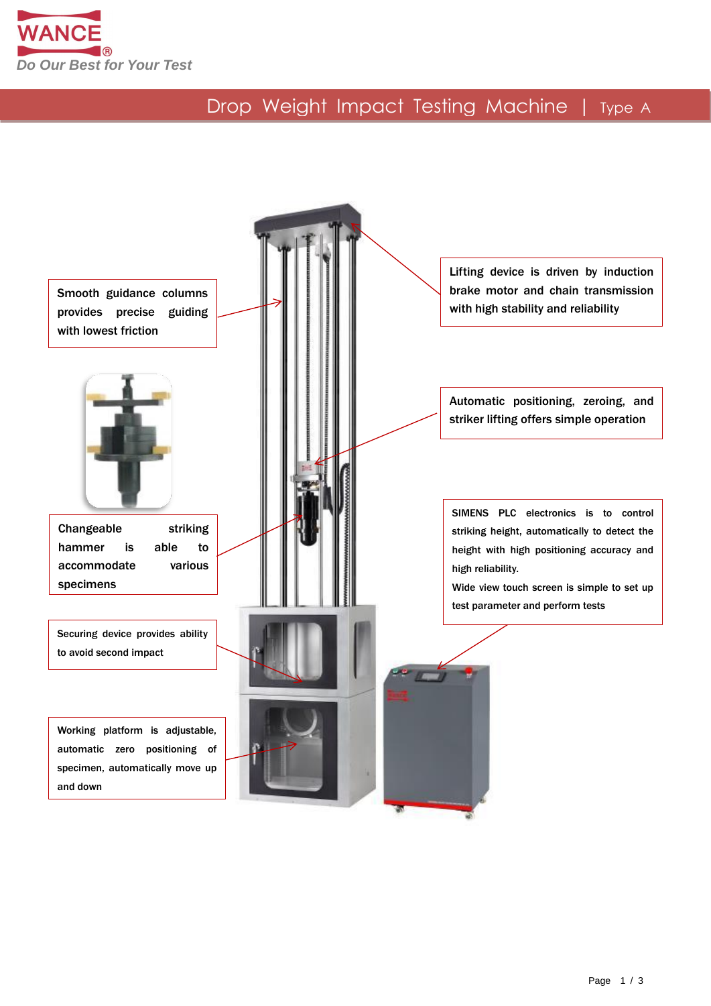

## Drop Weight Impact Testing Machine | Type A

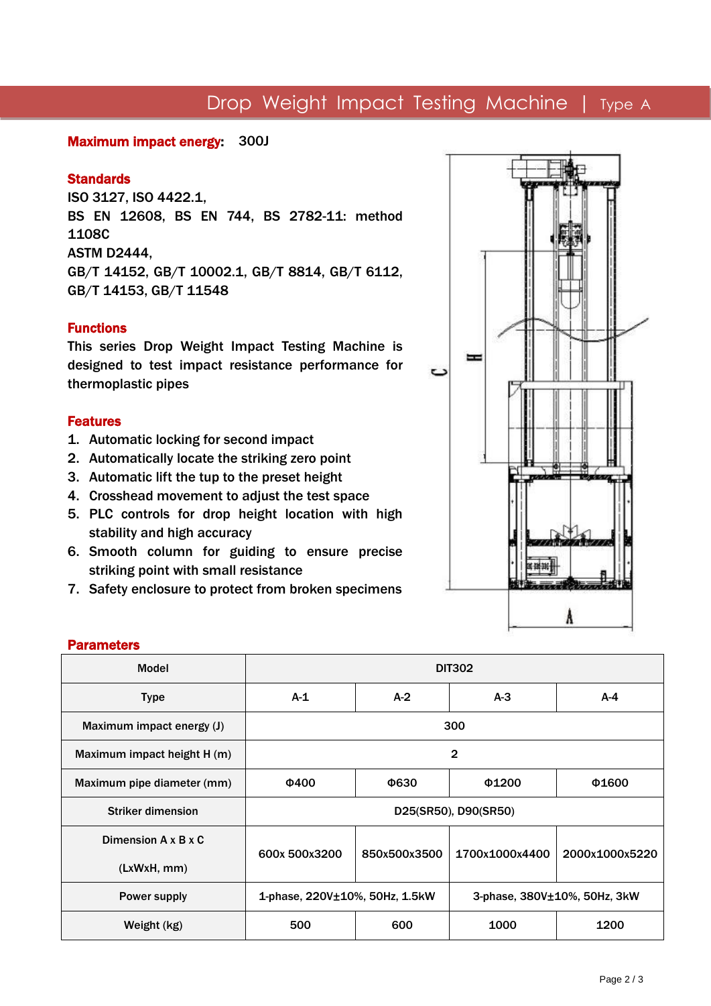## Drop Weight Impact Testing Machine | Type A

#### Maximum impact energy: 300J

#### **Standards**

ISO 3127, ISO 4422.1, BS EN 12608, BS EN 744, BS 2782-11: method 1108C ASTM D2444, GB/T 14152, GB/T 10002.1, GB/T 8814, GB/T 6112, GB/T 14153, GB/T 11548

#### Functions

This series Drop Weight Impact Testing Machine is designed to test impact resistance performance for thermoplastic pipes

#### Features

- 1. Automatic locking for second impact
- 2. Automatically locate the striking zero point
- 3. Automatic lift the tup to the preset height
- 4. Crosshead movement to adjust the test space
- 5. PLC controls for drop height location with high stability and high accuracy
- 6. Smooth column for guiding to ensure precise striking point with small resistance
- 7. Safety enclosure to protect from broken specimens



#### **Parameters**

| Model                       | <b>DIT302</b>                                                  |              |                |                |
|-----------------------------|----------------------------------------------------------------|--------------|----------------|----------------|
| <b>Type</b>                 | $A-1$                                                          | $A-2$        | $A-3$          | $A-4$          |
| Maximum impact energy (J)   | 300                                                            |              |                |                |
| Maximum impact height H (m) | $\overline{2}$                                                 |              |                |                |
| Maximum pipe diameter (mm)  | <b>Φ400</b>                                                    | Ф630         | $\Phi$ 1200    | Φ1600          |
| <b>Striker dimension</b>    | D25(SR50), D90(SR50)                                           |              |                |                |
| Dimension A x B x C         | 600x 500x3200                                                  | 850x500x3500 | 1700x1000x4400 | 2000x1000x5220 |
| (LxWxH, mm)                 |                                                                |              |                |                |
| Power supply                | 1-phase, 220V±10%, 50Hz, 1.5kW<br>3-phase, 380V±10%, 50Hz, 3kW |              |                |                |
| Weight (kg)                 | 500                                                            | 600          | 1000           | 1200           |